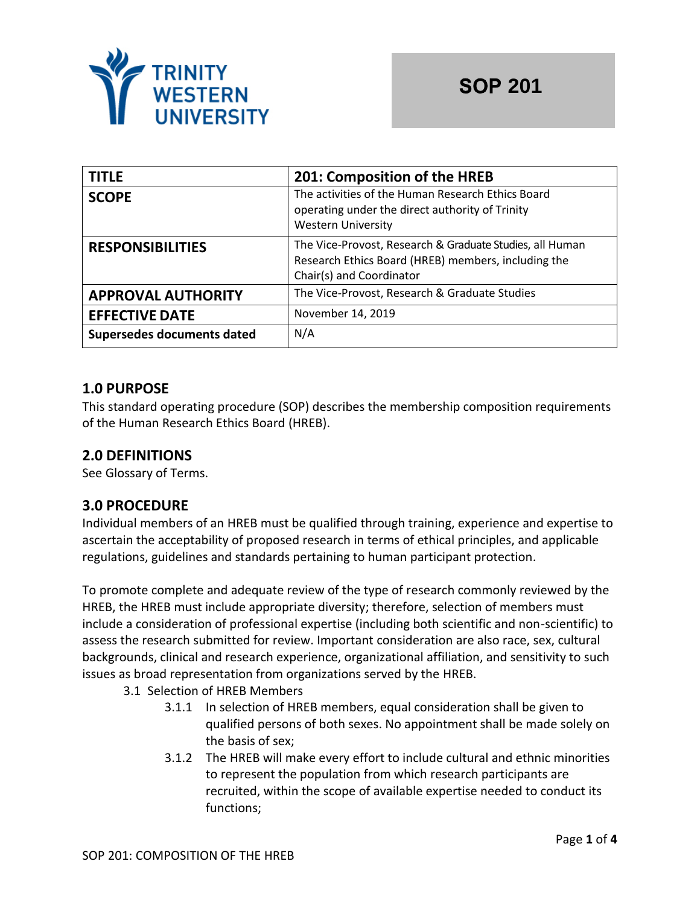

| <b>TITLE</b>               | 201: Composition of the HREB                                                                                                                |
|----------------------------|---------------------------------------------------------------------------------------------------------------------------------------------|
| <b>SCOPE</b>               | The activities of the Human Research Ethics Board<br>operating under the direct authority of Trinity<br><b>Western University</b>           |
| <b>RESPONSIBILITIES</b>    | The Vice-Provost, Research & Graduate Studies, all Human<br>Research Ethics Board (HREB) members, including the<br>Chair(s) and Coordinator |
| <b>APPROVAL AUTHORITY</b>  | The Vice-Provost, Research & Graduate Studies                                                                                               |
| <b>EFFECTIVE DATE</b>      | November 14, 2019                                                                                                                           |
| Supersedes documents dated | N/A                                                                                                                                         |

## **1.0 PURPOSE**

This standard operating procedure (SOP) describes the membership composition requirements of the Human Research Ethics Board (HREB).

## **2.0 DEFINITIONS**

See Glossary of Terms.

#### **3.0 PROCEDURE**

Individual members of an HREB must be qualified through training, experience and expertise to ascertain the acceptability of proposed research in terms of ethical principles, and applicable regulations, guidelines and standards pertaining to human participant protection.

To promote complete and adequate review of the type of research commonly reviewed by the HREB, the HREB must include appropriate diversity; therefore, selection of members must include a consideration of professional expertise (including both scientific and non-scientific) to assess the research submitted for review. Important consideration are also race, sex, cultural backgrounds, clinical and research experience, organizational affiliation, and sensitivity to such issues as broad representation from organizations served by the HREB.

- 3.1 Selection of HREB Members
	- 3.1.1 In selection of HREB members, equal consideration shall be given to qualified persons of both sexes. No appointment shall be made solely on the basis of sex;
	- 3.1.2 The HREB will make every effort to include cultural and ethnic minorities to represent the population from which research participants are recruited, within the scope of available expertise needed to conduct its functions;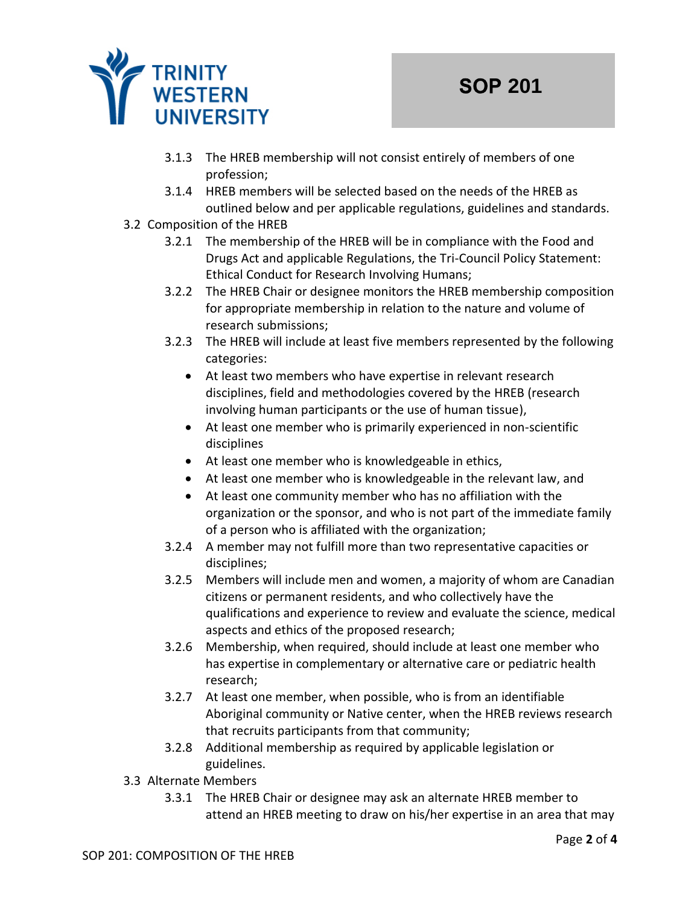

- 3.1.3 The HREB membership will not consist entirely of members of one profession;
- 3.1.4 HREB members will be selected based on the needs of the HREB as outlined below and per applicable regulations, guidelines and standards.
- 3.2 Composition of the HREB
	- 3.2.1 The membership of the HREB will be in compliance with the Food and Drugs Act and applicable Regulations, the Tri-Council Policy Statement: Ethical Conduct for Research Involving Humans;
	- 3.2.2 The HREB Chair or designee monitors the HREB membership composition for appropriate membership in relation to the nature and volume of research submissions;
	- 3.2.3 The HREB will include at least five members represented by the following categories:
		- At least two members who have expertise in relevant research disciplines, field and methodologies covered by the HREB (research involving human participants or the use of human tissue),
		- At least one member who is primarily experienced in non-scientific disciplines
		- At least one member who is knowledgeable in ethics,
		- At least one member who is knowledgeable in the relevant law, and
		- At least one community member who has no affiliation with the organization or the sponsor, and who is not part of the immediate family of a person who is affiliated with the organization;
	- 3.2.4 A member may not fulfill more than two representative capacities or disciplines;
	- 3.2.5 Members will include men and women, a majority of whom are Canadian citizens or permanent residents, and who collectively have the qualifications and experience to review and evaluate the science, medical aspects and ethics of the proposed research;
	- 3.2.6 Membership, when required, should include at least one member who has expertise in complementary or alternative care or pediatric health research;
	- 3.2.7 At least one member, when possible, who is from an identifiable Aboriginal community or Native center, when the HREB reviews research that recruits participants from that community;
	- 3.2.8 Additional membership as required by applicable legislation or guidelines.
- 3.3 Alternate Members
	- 3.3.1 The HREB Chair or designee may ask an alternate HREB member to attend an HREB meeting to draw on his/her expertise in an area that may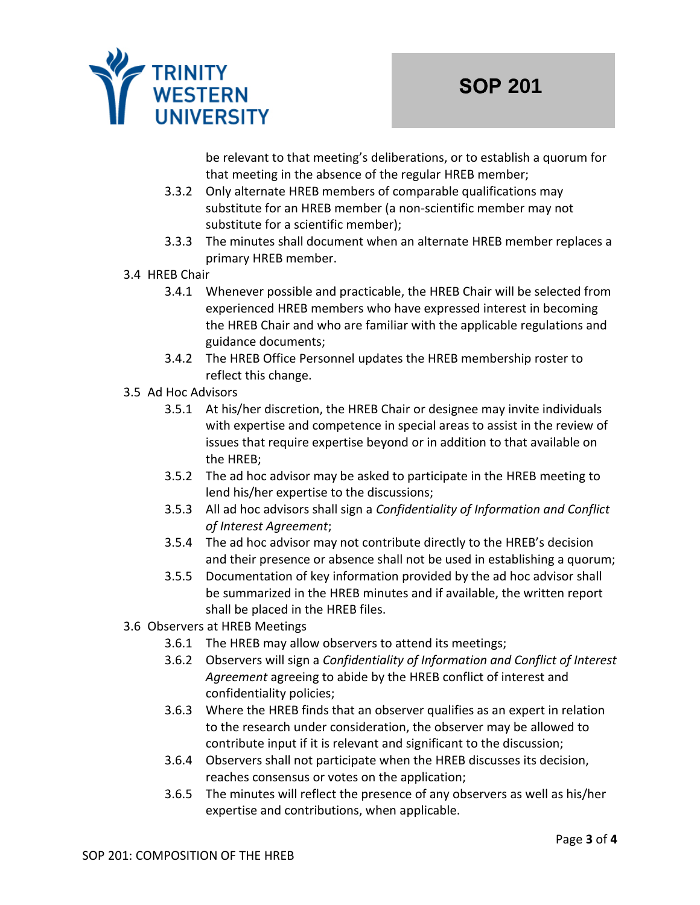

be relevant to that meeting's deliberations, or to establish a quorum for that meeting in the absence of the regular HREB member;

- 3.3.2 Only alternate HREB members of comparable qualifications may substitute for an HREB member (a non-scientific member may not substitute for a scientific member);
- 3.3.3 The minutes shall document when an alternate HREB member replaces a primary HREB member.
- 3.4 HREB Chair
	- 3.4.1 Whenever possible and practicable, the HREB Chair will be selected from experienced HREB members who have expressed interest in becoming the HREB Chair and who are familiar with the applicable regulations and guidance documents;
	- 3.4.2 The HREB Office Personnel updates the HREB membership roster to reflect this change.
- 3.5 Ad Hoc Advisors
	- 3.5.1 At his/her discretion, the HREB Chair or designee may invite individuals with expertise and competence in special areas to assist in the review of issues that require expertise beyond or in addition to that available on the HREB;
	- 3.5.2 The ad hoc advisor may be asked to participate in the HREB meeting to lend his/her expertise to the discussions;
	- 3.5.3 All ad hoc advisors shall sign a *Confidentiality of Information and Conflict of Interest Agreement*;
	- 3.5.4 The ad hoc advisor may not contribute directly to the HREB's decision and their presence or absence shall not be used in establishing a quorum;
	- 3.5.5 Documentation of key information provided by the ad hoc advisor shall be summarized in the HREB minutes and if available, the written report shall be placed in the HREB files.
- 3.6 Observers at HREB Meetings
	- 3.6.1 The HREB may allow observers to attend its meetings;
	- 3.6.2 Observers will sign a *Confidentiality of Information and Conflict of Interest Agreement* agreeing to abide by the HREB conflict of interest and confidentiality policies;
	- 3.6.3 Where the HREB finds that an observer qualifies as an expert in relation to the research under consideration, the observer may be allowed to contribute input if it is relevant and significant to the discussion;
	- 3.6.4 Observers shall not participate when the HREB discusses its decision, reaches consensus or votes on the application;
	- 3.6.5 The minutes will reflect the presence of any observers as well as his/her expertise and contributions, when applicable.